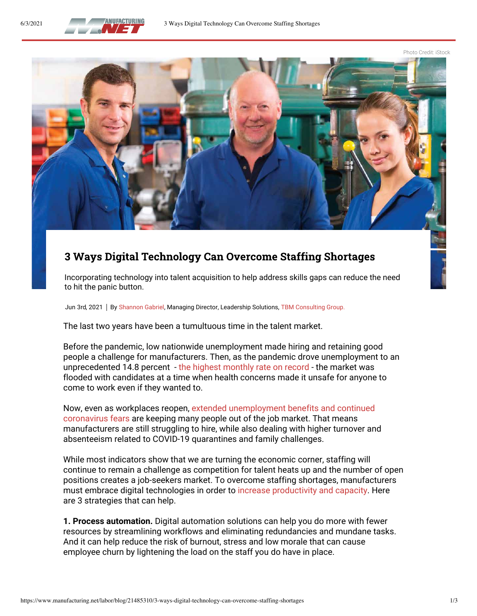

Photo Credit: iStock



## **3 Ways Digital Technology Can Overcome Staffing Shortages**

Incorporating technology into talent acquisition to help address skills gaps can reduce the need to hit the panic button.

Jun 3rd, 2021 | By Shannon Gabriel, Managing Director, Leadership Solutions, [TBM Consulting Group.](https://www.tbmcg.com/)

The last two years have been a tumultuous time in the talent market.

Before the pandemic, low nationwide unemployment made hiring and retaining good people a challenge for manufacturers. Then, as the pandemic drove unemployment to an unprecedented 14.8 percent - [the highest monthly rate on record](https://data.bls.gov/pdq/SurveyOutputServlet) - the market was flooded with candidates at a time when health concerns made it unsafe for anyone to come to work even if they wanted to.

Now, even as workplaces reopen[, extended unemployment benefits and continued](https://www.wjhl.com/news/local/economist-three-reasons-why-businesses-are-struggling-to-hire-workers/)  [coronavirus fears](https://www.wjhl.com/news/local/economist-three-reasons-why-businesses-are-struggling-to-hire-workers/) are keeping many people out of the job market. That means manufacturers are still struggling to hire, while also dealing with higher turnover and absenteeism related to COVID-19 quarantines and family challenges.

While most indicators show that we are turning the economic corner, staffing will continue to remain a challenge as competition for talent heats up and the number of open positions creates a job-seekers market. To overcome staffing shortages, manufacturers must embrace digital technologies in order t[o increase productivity and capacity.](https://www.dploysolutions.com/blog/5-ways-to-increase-capacity-despite-talent-shortages-with-digital-manufacturing-technology/) Here are 3 strategies that can help.

**1. Process automation.** Digital automation solutions can help you do more with fewer resources by streamlining workflows and eliminating redundancies and mundane tasks. And it can help reduce the risk of burnout, stress and low morale that can cause employee churn by lightening the load on the staff you do have in place.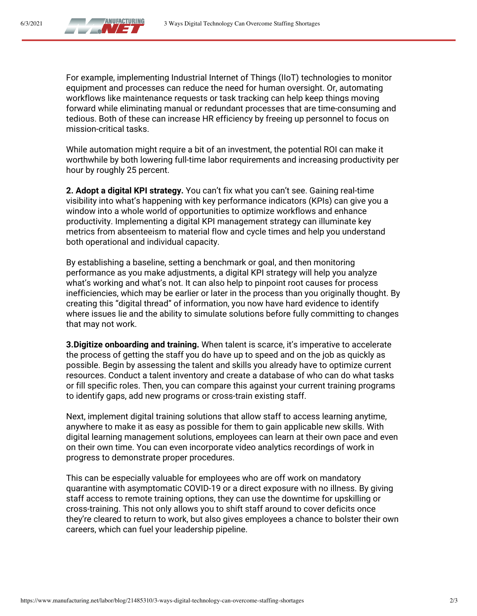

6/3/2021

For example, implementing Industrial Internet of Things (IIoT) technologies to monitor equipment and processes can reduce the need for human oversight. Or, automating workflows like maintenance requests or task tracking can help keep things moving forward while eliminating manual or redundant processes that are time-consuming and tedious. Both of these can increase HR efficiency by freeing up personnel to focus on mission-critical tasks.

While automation might require a bit of an investment, the potential ROI can make it worthwhile by both lowering full-time labor requirements and increasing productivity per hour by roughly 25 percent.

**2. Adopt a digital KPI strategy.** You can't fix what you can't see. Gaining real-time visibility into what's happening with key performance indicators (KPIs) can give you a window into a whole world of opportunities to optimize workflows and enhance productivity. Implementing a digital KPI management strategy can illuminate key metrics from absenteeism to material flow and cycle times and help you understand both operational and individual capacity.

By establishing a baseline, setting a benchmark or goal, and then monitoring performance as you make adjustments, a digital KPI strategy will help you analyze what's working and what's not. It can also help to pinpoint root causes for process inefficiencies, which may be earlier or later in the process than you originally thought. By creating this "digital thread" of information, you now have hard evidence to identify where issues lie and the ability to simulate solutions before fully committing to changes that may not work.

> **3.Digitize onboarding and training.** When talent is scarce, it's imperative to accelerate the process of getting the staff you do have up to speed and on the job as quickly as possible. Begin by assessing the talent and skills you already have to optimize current resources. Conduct a talent inventory and create a database of who can do what tasks or fill specific roles. Then, you can compare this against your current training programs to identify gaps, add new programs or cross-train existing staff.

> Next, implement digital training solutions that allow staff to access learning anytime, anywhere to make it as easy as possible for them to gain applicable new skills. With digital learning management solutions, employees can learn at their own pace and even on their own time. You can even incorporate video analytics recordings of work in progress to demonstrate proper procedures.

> This can be especially valuable for employees who are off work on mandatory quarantine with asymptomatic COVID-19 or a direct exposure with no illness. By giving staff access to remote training options, they can use the downtime for upskilling or cross-training. This not only allows you to shift staff around to cover deficits once they're cleared to return to work, but also gives employees a chance to bolster their own careers, which can fuel your leadership pipeline.